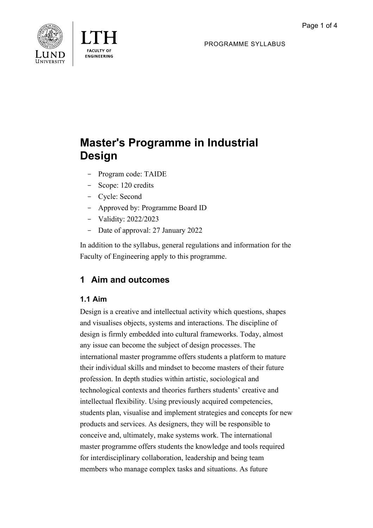PROGRAMME SYLLABUS





# **Master's Programme in Industrial Design**

- Program code: TAIDE
- Scope: 120 credits
- Cycle: Second
- Approved by: Programme Board ID
- Validity: 2022/2023
- Date of approval: 27 January 2022

In addition to the syllabus, general regulations and information for the Faculty of Engineering apply to this programme.

## **1 Aim and outcomes**

### **1.1 Aim**

Design is a creative and intellectual activity which questions, shapes and visualises objects, systems and interactions. The discipline of design is firmly embedded into cultural frameworks. Today, almost any issue can become the subject of design processes. The international master programme offers students a platform to mature their individual skills and mindset to become masters of their future profession. In depth studies within artistic, sociological and technological contexts and theories furthers students' creative and intellectual flexibility. Using previously acquired competencies, students plan, visualise and implement strategies and concepts for new products and services. As designers, they will be responsible to conceive and, ultimately, make systems work. The international master programme offers students the knowledge and tools required for interdisciplinary collaboration, leadership and being team members who manage complex tasks and situations. As future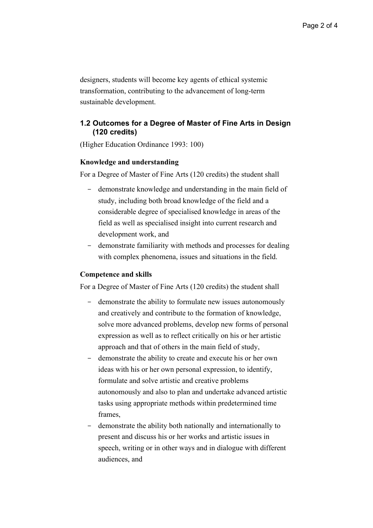designers, students will become key agents of ethical systemic transformation, contributing to the advancement of long-term sustainable development.

### **1.2 Outcomes for a Degree of Master of Fine Arts in Design (120 credits)**

(Higher Education Ordinance 1993: 100)

#### **Knowledge and understanding**

For a Degree of Master of Fine Arts (120 credits) the student shall

- demonstrate knowledge and understanding in the main field of study, including both broad knowledge of the field and a considerable degree of specialised knowledge in areas of the field as well as specialised insight into current research and development work, and
- demonstrate familiarity with methods and processes for dealing with complex phenomena, issues and situations in the field.

#### **Competence and skills**

For a Degree of Master of Fine Arts (120 credits) the student shall

- demonstrate the ability to formulate new issues autonomously and creatively and contribute to the formation of knowledge, solve more advanced problems, develop new forms of personal expression as well as to reflect critically on his or her artistic approach and that of others in the main field of study,
- demonstrate the ability to create and execute his or her own ideas with his or her own personal expression, to identify, formulate and solve artistic and creative problems autonomously and also to plan and undertake advanced artistic tasks using appropriate methods within predetermined time frames,
- demonstrate the ability both nationally and internationally to present and discuss his or her works and artistic issues in speech, writing or in other ways and in dialogue with different audiences, and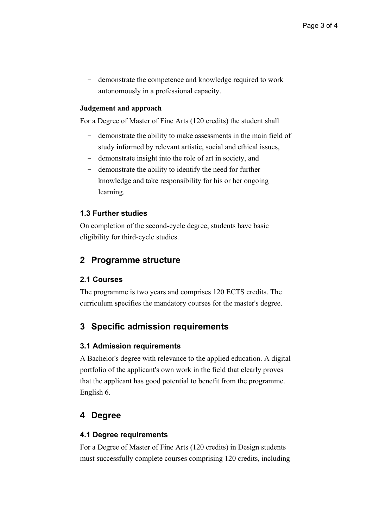- demonstrate the competence and knowledge required to work autonomously in a professional capacity.

### **Judgement and approach**

For a Degree of Master of Fine Arts (120 credits) the student shall

- demonstrate the ability to make assessments in the main field of study informed by relevant artistic, social and ethical issues,
- demonstrate insight into the role of art in society, and
- demonstrate the ability to identify the need for further knowledge and take responsibility for his or her ongoing learning.

### **1.3 Further studies**

On completion of the second-cycle degree, students have basic eligibility for third-cycle studies.

### **2 Programme structure**

### **2.1 Courses**

The programme is two years and comprises 120 ECTS credits. The curriculum specifies the mandatory courses for the master's degree.

### **3 Specific admission requirements**

### **3.1 Admission requirements**

A Bachelor's degree with relevance to the applied education. A digital portfolio of the applicant's own work in the field that clearly proves that the applicant has good potential to benefit from the programme. English 6.

### **4 Degree**

### **4.1 Degree requirements**

For a Degree of Master of Fine Arts (120 credits) in Design students must successfully complete courses comprising 120 credits, including